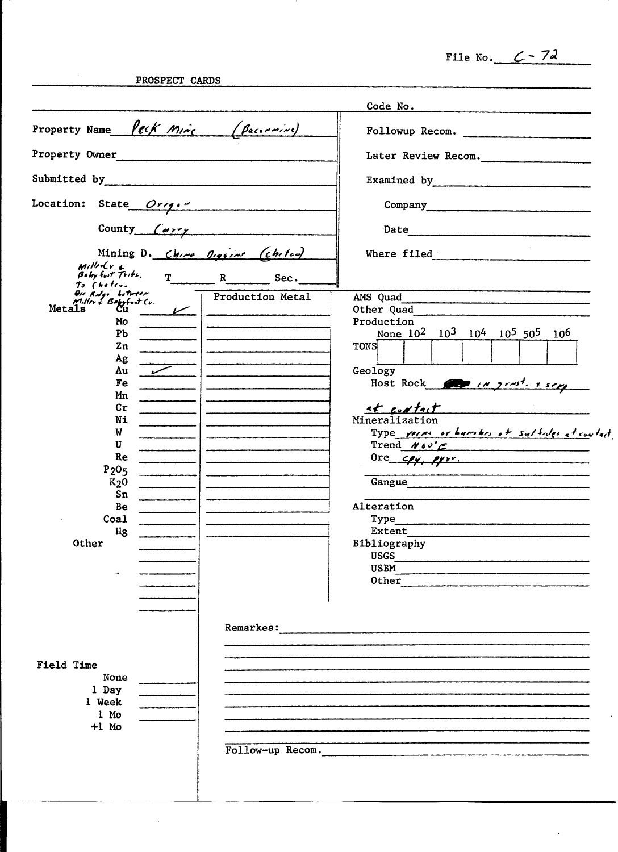File No.  $C - 72$ 

 $\mathcal{A}^{\pm}$ 

PROSPECT CARDS

 $\mathcal{L}^{\text{max}}_{\text{max}}$ 

|                                                                                                                                                                                                                                                                                       |                  | Code No.                                                                                                                                                                                                                                                                                                                                                                                                                                                                                                                                         |
|---------------------------------------------------------------------------------------------------------------------------------------------------------------------------------------------------------------------------------------------------------------------------------------|------------------|--------------------------------------------------------------------------------------------------------------------------------------------------------------------------------------------------------------------------------------------------------------------------------------------------------------------------------------------------------------------------------------------------------------------------------------------------------------------------------------------------------------------------------------------------|
| Property Name Peck Mine (Baconnine)                                                                                                                                                                                                                                                   |                  | Followup Recom.                                                                                                                                                                                                                                                                                                                                                                                                                                                                                                                                  |
| Property Owner                                                                                                                                                                                                                                                                        |                  | Later Review Recom.                                                                                                                                                                                                                                                                                                                                                                                                                                                                                                                              |
| Submitted by 2000 and 2000 and 2000 and 2000 and 2000 and 2000 and 2000 and 2000 and 2000 and 2000 and 2000 and 2000 and 2000 and 2000 and 2000 and 2000 and 2000 and 2000 and 2000 and 2000 and 2000 and 2000 and 2000 and 20                                                        |                  | Examined by                                                                                                                                                                                                                                                                                                                                                                                                                                                                                                                                      |
| Location: State Orrg."                                                                                                                                                                                                                                                                |                  |                                                                                                                                                                                                                                                                                                                                                                                                                                                                                                                                                  |
| County $\left(\frac{a_1a_2a_3a_4b_1a_2b_3b_4b_1a_2b_2b_3b_4b_4b_1a_2b_2b_3b_4b_4b_1b_2b_3b_4b_4b_1b_2b_3b_4b_4b_1b_2b_4b_4b_1b_2b_4b_4b_1b_2b_4b_4b_1b_2b_4b_4b_1b_2b_4b_4b_1b_2b_4b_4b_1b_2b_4b_4b_1b_2b_4b_4b_1b_2b_4b_1b_2b_4b_1b$                                                 |                  | Date                                                                                                                                                                                                                                                                                                                                                                                                                                                                                                                                             |
| Mining D. China Diggine (chetes)<br>$M$ illin $Cr$ L                                                                                                                                                                                                                                  |                  | Where filed and the state of the state of the state of the state of the state of the state of the state of the                                                                                                                                                                                                                                                                                                                                                                                                                                   |
| Bully fout Tribs.<br>to Chefco.<br>ON Ridge between                                                                                                                                                                                                                                   | T R Sec.         |                                                                                                                                                                                                                                                                                                                                                                                                                                                                                                                                                  |
| Miller & Boysford Cv.<br>Metals C11<br>Mo<br>P <sub>b</sub><br>$_{\rm Zn}$<br>Ag<br>Au<br><b>Fe</b><br>Mn<br>$\mathbf{c}$ r<br>Ni<br>W<br>U<br>Re<br>P <sub>205</sub><br>$K2$ O<br>Sn<br>Be<br>Coal<br>Hg<br><b>Other</b><br>Field Time<br>None<br>1 Day<br>1 Week<br>1 Mo<br>$+1$ Mo | Production Metal | AMS Quad<br>Other Quad<br>Production<br>None $10^2$ $10^3$ $10^4$ $10^5$ $50^5$ $10^6$<br><b>TONS</b><br>Geology<br>Host Rock $\sqrt{N}$ in $2r\omega^2$ , $r$ sing<br>at contact<br>Mineralization<br>Type verns or burshes of sulfides at contact<br>Trend $N60^{\circ}$ $\epsilon$<br>Ore $cy$ , $qyr$ .<br>Gangue<br>Alteration<br>Type<br>Extent<br>Bibliography<br>USGS<br><b>USBM</b><br>.<br>The color and the color of the color of the color of the color of the color of the color behavior of the color<br>0ther<br>Follow-up Recom. |
|                                                                                                                                                                                                                                                                                       |                  |                                                                                                                                                                                                                                                                                                                                                                                                                                                                                                                                                  |